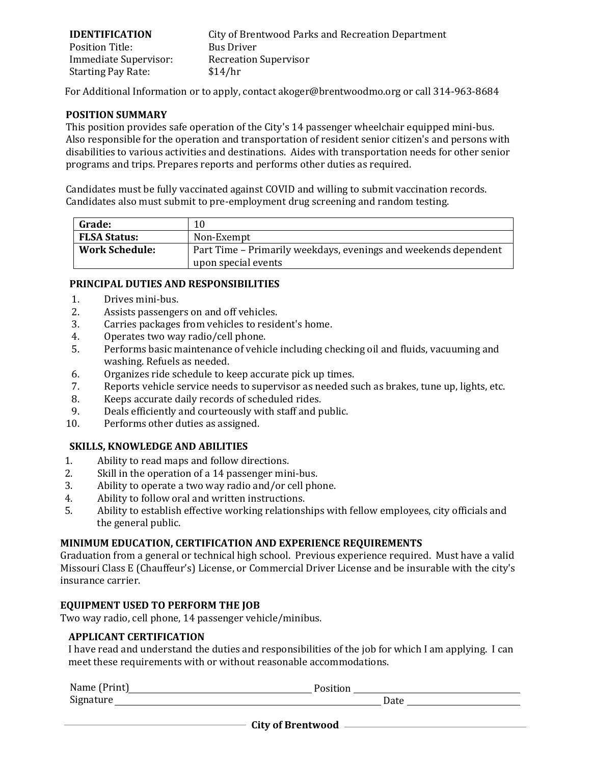#### **IDENTIFICATION** Position Title:

Immediate Supervisor: Starting Pay Rate:

City of Brentwood Parks and Recreation Department Bus Driver Recreation Supervisor \$14/hr

For Additional Information or to apply, contact akoger@brentwoodmo.org or call 314-963-8684

#### **POSITION SUMMARY**

This position provides safe operation of the City's 14 passenger wheelchair equipped mini‐bus. Also responsible for the operation and transportation of resident senior citizen's and persons with disabilities to various activities and destinations. Aides with transportation needs for other senior programs and trips. Prepares reports and performs other duties as required.

Candidates must be fully vaccinated against COVID and willing to submit vaccination records. Candidates also must submit to pre-employment drug screening and random testing.

| <b>Grade:</b>         |                                                                 |
|-----------------------|-----------------------------------------------------------------|
| <b>FLSA Status:</b>   | Non-Exempt                                                      |
| <b>Work Schedule:</b> | Part Time – Primarily weekdays, evenings and weekends dependent |
|                       | upon special events                                             |

### **PRINCIPAL DUTIES AND RESPONSIBILITIES**

- 
- 1. Drives mini-bus.<br>2. Assists passenger
- 2. Assists passengers on and off vehicles.<br>3. Carries packages from vehicles to resident 3. Carries packages from vehicles to resident's home.<br>4. Operates two way radio/cell phone.
- 4. Operates two way radio/cell phone.<br>5. Performs basic maintenance of vehic
- 5. Performs basic maintenance of vehicle including checking oil and fluids, vacuuming and washing. Refuels as needed.
- 6. Organizes ride schedule to keep accurate pick up times.<br>7. Reports vehicle service needs to supervisor as needed so
- 7. Reports vehicle service needs to supervisor as needed such as brakes, tune up, lights, etc.<br>8. Keeps accurate daily records of scheduled rides.
- 8. Keeps accurate daily records of scheduled rides.<br>9. Deals efficiently and courteously with staff and p
- 9. Deals efficiently and courteously with staff and public.<br>10. Performs other duties as assigned.
- Performs other duties as assigned.

# **SKILLS, KNOWLEDGE AND ABILITIES**

- 1. Ability to read maps and follow directions.<br>2. Skill in the operation of a 14 passenger min
- 2. Skill in the operation of a 14 passenger mini-bus.<br>3. Ability to operate a two way radio and/or cell pho
- 3. Ability to operate a two way radio and/or cell phone.<br>4. Ability to follow oral and written instructions.
- 4. Ability to follow oral and written instructions.<br>5. Ability to establish effective working relationsl
- 5. Ability to establish effective working relationships with fellow employees, city officials and the general public.

#### **MINIMUM EDUCATION, CERTIFICATION AND EXPERIENCE REQUIREMENTS**

Graduation from a general or technical high school. Previous experience required. Must have a valid Missouri Class E (Chauffeur's) License, or Commercial Driver License and be insurable with the city's insurance carrier.

# **EQUIPMENT USED TO PERFORM THE JOB**

Two way radio, cell phone, 14 passenger vehicle/minibus.

# **APPLICANT CERTIFICATION**

I have read and understand the duties and responsibilities of the job for which I am applying. I can meet these requirements with or without reasonable accommodations.

| Name (Print) | $\ddot{\text{v}}$ |
|--------------|-------------------|
| Signature    | Date              |

**City of Brentwood**